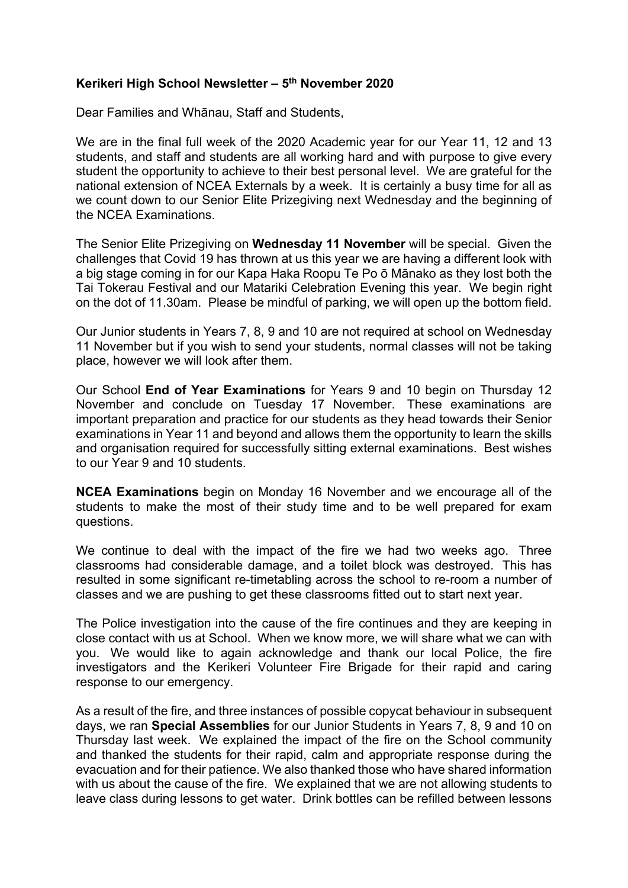## **Kerikeri High School Newsletter – 5th November 2020**

Dear Families and Whānau, Staff and Students,

We are in the final full week of the 2020 Academic year for our Year 11, 12 and 13 students, and staff and students are all working hard and with purpose to give every student the opportunity to achieve to their best personal level. We are grateful for the national extension of NCEA Externals by a week. It is certainly a busy time for all as we count down to our Senior Elite Prizegiving next Wednesday and the beginning of the NCEA Examinations.

The Senior Elite Prizegiving on **Wednesday 11 November** will be special. Given the challenges that Covid 19 has thrown at us this year we are having a different look with a big stage coming in for our Kapa Haka Roopu Te Po ō Mānako as they lost both the Tai Tokerau Festival and our Matariki Celebration Evening this year. We begin right on the dot of 11.30am. Please be mindful of parking, we will open up the bottom field.

Our Junior students in Years 7, 8, 9 and 10 are not required at school on Wednesday 11 November but if you wish to send your students, normal classes will not be taking place, however we will look after them.

Our School **End of Year Examinations** for Years 9 and 10 begin on Thursday 12 November and conclude on Tuesday 17 November. These examinations are important preparation and practice for our students as they head towards their Senior examinations in Year 11 and beyond and allows them the opportunity to learn the skills and organisation required for successfully sitting external examinations. Best wishes to our Year 9 and 10 students.

**NCEA Examinations** begin on Monday 16 November and we encourage all of the students to make the most of their study time and to be well prepared for exam questions.

We continue to deal with the impact of the fire we had two weeks ago. Three classrooms had considerable damage, and a toilet block was destroyed. This has resulted in some significant re-timetabling across the school to re-room a number of classes and we are pushing to get these classrooms fitted out to start next year.

The Police investigation into the cause of the fire continues and they are keeping in close contact with us at School. When we know more, we will share what we can with you. We would like to again acknowledge and thank our local Police, the fire investigators and the Kerikeri Volunteer Fire Brigade for their rapid and caring response to our emergency.

As a result of the fire, and three instances of possible copycat behaviour in subsequent days, we ran **Special Assemblies** for our Junior Students in Years 7, 8, 9 and 10 on Thursday last week. We explained the impact of the fire on the School community and thanked the students for their rapid, calm and appropriate response during the evacuation and for their patience. We also thanked those who have shared information with us about the cause of the fire. We explained that we are not allowing students to leave class during lessons to get water. Drink bottles can be refilled between lessons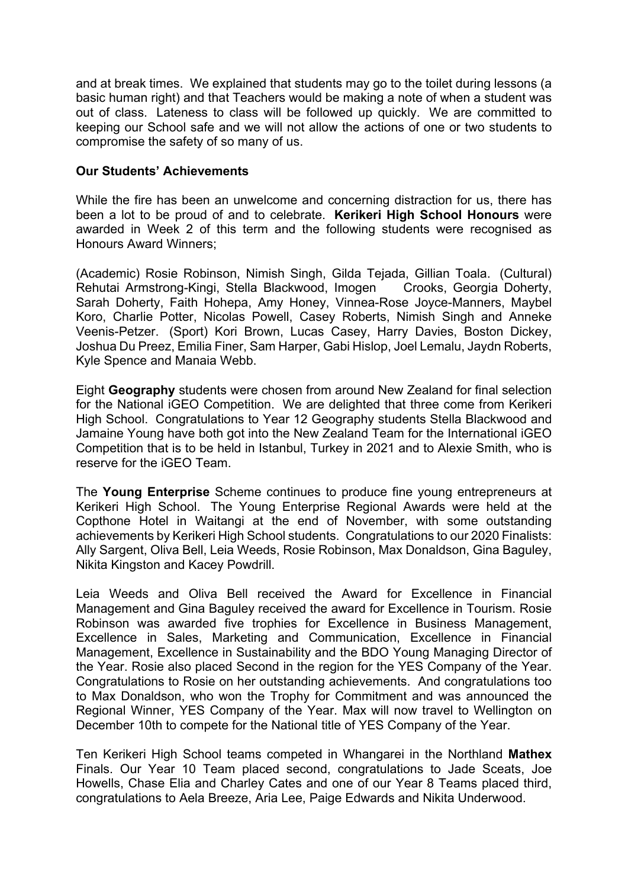and at break times. We explained that students may go to the toilet during lessons (a basic human right) and that Teachers would be making a note of when a student was out of class. Lateness to class will be followed up quickly. We are committed to keeping our School safe and we will not allow the actions of one or two students to compromise the safety of so many of us.

## **Our Students' Achievements**

While the fire has been an unwelcome and concerning distraction for us, there has been a lot to be proud of and to celebrate. **Kerikeri High School Honours** were awarded in Week 2 of this term and the following students were recognised as Honours Award Winners;

(Academic) Rosie Robinson, Nimish Singh, Gilda Tejada, Gillian Toala. (Cultural) Rehutai Armstrong-Kingi, Stella Blackwood, Imogen Crooks, Georgia Doherty, Sarah Doherty, Faith Hohepa, Amy Honey, Vinnea-Rose Joyce-Manners, Maybel Koro, Charlie Potter, Nicolas Powell, Casey Roberts, Nimish Singh and Anneke Veenis-Petzer. (Sport) Kori Brown, Lucas Casey, Harry Davies, Boston Dickey, Joshua Du Preez, Emilia Finer, Sam Harper, Gabi Hislop, Joel Lemalu, Jaydn Roberts, Kyle Spence and Manaia Webb.

Eight **Geography** students were chosen from around New Zealand for final selection for the National iGEO Competition. We are delighted that three come from Kerikeri High School. Congratulations to Year 12 Geography students Stella Blackwood and Jamaine Young have both got into the New Zealand Team for the International iGEO Competition that is to be held in Istanbul, Turkey in 2021 and to Alexie Smith, who is reserve for the iGEO Team.

The **Young Enterprise** Scheme continues to produce fine young entrepreneurs at Kerikeri High School. The Young Enterprise Regional Awards were held at the Copthone Hotel in Waitangi at the end of November, with some outstanding achievements by Kerikeri High School students. Congratulations to our 2020 Finalists: Ally Sargent, Oliva Bell, Leia Weeds, Rosie Robinson, Max Donaldson, Gina Baguley, Nikita Kingston and Kacey Powdrill.

Leia Weeds and Oliva Bell received the Award for Excellence in Financial Management and Gina Baguley received the award for Excellence in Tourism. Rosie Robinson was awarded five trophies for Excellence in Business Management, Excellence in Sales, Marketing and Communication, Excellence in Financial Management, Excellence in Sustainability and the BDO Young Managing Director of the Year. Rosie also placed Second in the region for the YES Company of the Year. Congratulations to Rosie on her outstanding achievements. And congratulations too to Max Donaldson, who won the Trophy for Commitment and was announced the Regional Winner, YES Company of the Year. Max will now travel to Wellington on December 10th to compete for the National title of YES Company of the Year.

Ten Kerikeri High School teams competed in Whangarei in the Northland **Mathex** Finals. Our Year 10 Team placed second, congratulations to Jade Sceats, Joe Howells, Chase Elia and Charley Cates and one of our Year 8 Teams placed third, congratulations to Aela Breeze, Aria Lee, Paige Edwards and Nikita Underwood.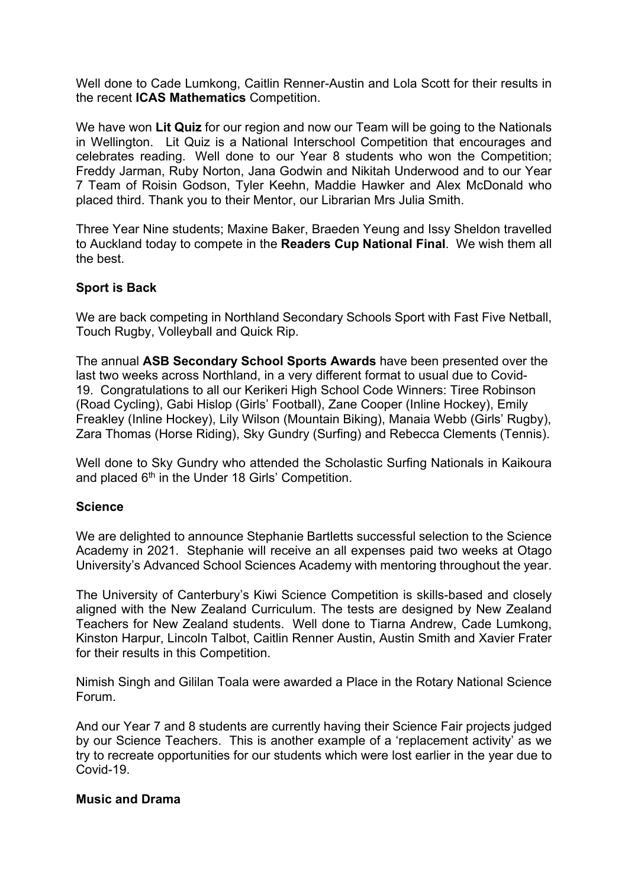Well done to Cade Lumkong, Caitlin Renner-Austin and Lola Scott for their results in the recent **ICAS Mathematics** Competition.

We have won **Lit Quiz** for our region and now our Team will be going to the Nationals in Wellington. Lit Quiz is a National Interschool Competition that encourages and celebrates reading. Well done to our Year 8 students who won the Competition; Freddy Jarman, Ruby Norton, Jana Godwin and Nikitah Underwood and to our Year 7 Team of Roisin Godson, Tyler Keehn, Maddie Hawker and Alex McDonald who placed third. Thank you to their Mentor, our Librarian Mrs Julia Smith.

Three Year Nine students; Maxine Baker, Braeden Yeung and Issy Sheldon travelled to Auckland today to compete in the **Readers Cup National Final**. We wish them all the best.

## **Sport is Back**

We are back competing in Northland Secondary Schools Sport with Fast Five Netball, Touch Rugby, Volleyball and Quick Rip.

The annual **ASB Secondary School Sports Awards** have been presented over the last two weeks across Northland, in a very different format to usual due to Covid-19. Congratulations to all our Kerikeri High School Code Winners: Tiree Robinson (Road Cycling), Gabi Hislop (Girls' Football), Zane Cooper (Inline Hockey), Emily Freakley (Inline Hockey), Lily Wilson (Mountain Biking), Manaia Webb (Girls' Rugby), Zara Thomas (Horse Riding), Sky Gundry (Surfing) and Rebecca Clements (Tennis).

Well done to Sky Gundry who attended the Scholastic Surfing Nationals in Kaikoura and placed 6<sup>th</sup> in the Under 18 Girls' Competition.

### **Science**

We are delighted to announce Stephanie Bartletts successful selection to the Science Academy in 2021. Stephanie will receive an all expenses paid two weeks at Otago University's Advanced School Sciences Academy with mentoring throughout the year.

The University of Canterbury's Kiwi Science Competition is skills-based and closely aligned with the New Zealand Curriculum. The tests are designed by New Zealand Teachers for New Zealand students. Well done to Tiarna Andrew, Cade Lumkong, Kinston Harpur, Lincoln Talbot, Caitlin Renner Austin, Austin Smith and Xavier Frater for their results in this Competition.

Nimish Singh and Gililan Toala were awarded a Place in the Rotary National Science Forum.

And our Year 7 and 8 students are currently having their Science Fair projects judged by our Science Teachers. This is another example of a 'replacement activity' as we try to recreate opportunities for our students which were lost earlier in the year due to Covid-19.

### **Music and Drama**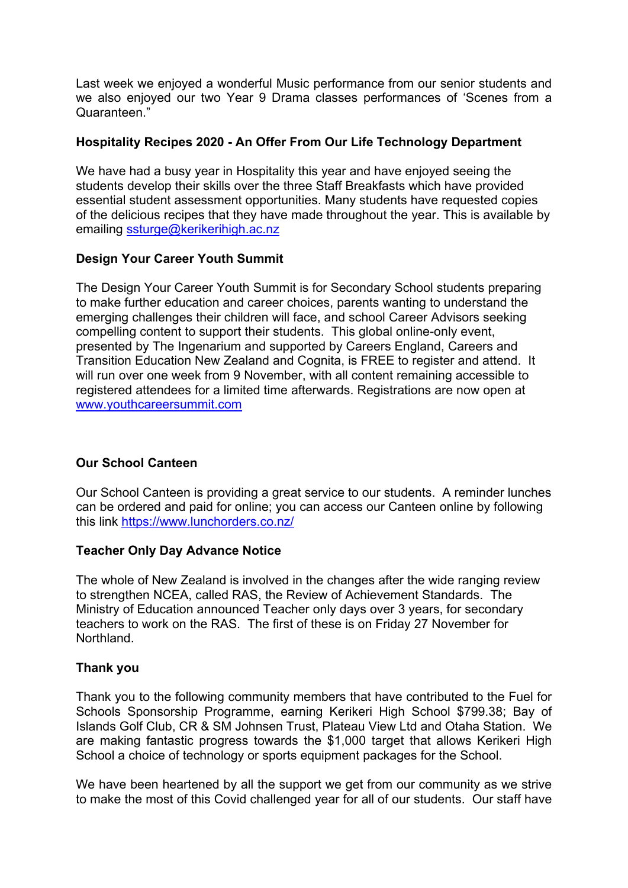Last week we enjoyed a wonderful Music performance from our senior students and we also enioved our two Year 9 Drama classes performances of 'Scenes from a Quaranteen."

## **Hospitality Recipes 2020 - An Offer From Our Life Technology Department**

We have had a busy year in Hospitality this year and have enjoyed seeing the students develop their skills over the three Staff Breakfasts which have provided essential student assessment opportunities. Many students have requested copies of the delicious recipes that they have made throughout the year. This is available by emailing [ssturge@kerikerihigh.ac.nz](mailto:ssturge@kerikerihigh.ac.nz)

# **Design Your Career Youth Summit**

The Design Your Career Youth Summit is for Secondary School students preparing to make further education and career choices, parents wanting to understand the emerging challenges their children will face, and school Career Advisors seeking compelling content to support their students. This global online-only event, presented by The Ingenarium and supported by Careers England, Careers and Transition Education New Zealand and Cognita, is FREE to register and attend. It will run over one week from 9 November, with all content remaining accessible to registered attendees for a limited time afterwards. Registrations are now open at [www.youthcareersummit.com](http://www.youthcareersummit.com/?fbclid=IwAR05lbMrf00621lXUdw-3uwyW5KlzPqSaMJnClxtz9gIf3AKRc4CbEimuHc)

# **Our School Canteen**

Our School Canteen is providing a great service to our students. A reminder lunches can be ordered and paid for online; you can access our Canteen online by following this link<https://www.lunchorders.co.nz/>

## **Teacher Only Day Advance Notice**

The whole of New Zealand is involved in the changes after the wide ranging review to strengthen NCEA, called RAS, the Review of Achievement Standards. The Ministry of Education announced Teacher only days over 3 years, for secondary teachers to work on the RAS. The first of these is on Friday 27 November for **Northland** 

## **Thank you**

Thank you to the following community members that have contributed to the Fuel for Schools Sponsorship Programme, earning Kerikeri High School \$799.38; Bay of Islands Golf Club, CR & SM Johnsen Trust, Plateau View Ltd and Otaha Station. We are making fantastic progress towards the \$1,000 target that allows Kerikeri High School a choice of technology or sports equipment packages for the School.

We have been heartened by all the support we get from our community as we strive to make the most of this Covid challenged year for all of our students. Our staff have